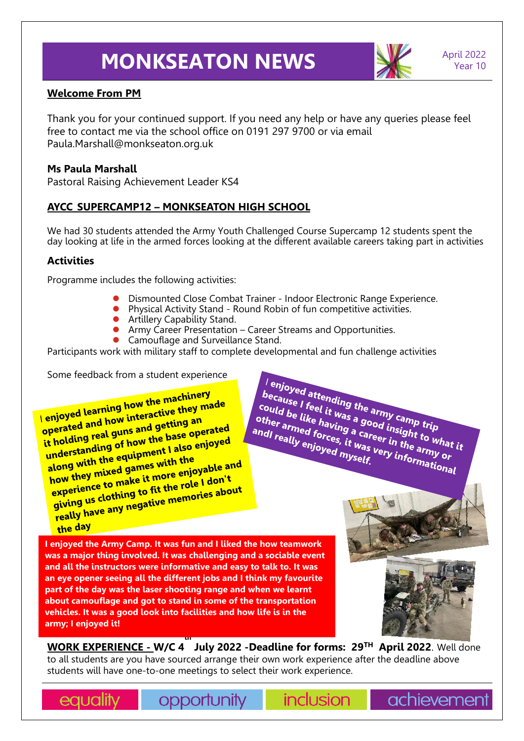# **MONKSEATON NEWS** April 2022



Year 10

## **Welcome From PM**

Thank you for your continued support. If you need any help or have any queries please feel free to contact me via the school office on 0191 297 9700 or via email Paula.Marshall@monkseaton.org.uk

#### **Ms Paula Marshall**

Pastoral Raising Achievement Leader KS4

## **AYCC\_SUPERCAMP12 – MONKSEATON HIGH SCHOOL**

We had 30 students attended the Army Youth Challenged Course Supercamp 12 students spent the day looking at life in the armed forces looking at the different available careers taking part in activities

## **Activities**

Programme includes the following activities:

- ⚫ Dismounted Close Combat Trainer Indoor Electronic Range Experience.
- ⚫ Physical Activity Stand Round Robin of fun competitive activities.
- ⚫ Artillery Capability Stand.
- ⚫ Army Career Presentation Career Streams and Opportunities.
- ⚫ Camouflage and Surveillance Stand.

Participants work with military staff to complete developmental and fun challenge activities

Some feedback from a student experience

enjoyed learning how the machinery<br>enjoyed learning how the machinery man and how interactive they man l enjoyed learning how the machinery<br>operated and how interactive they made<br>operated and how interacting an enjoyed learners interactive they<br>operated and how interactive they<br>it holding real guns and getting an enjoy-<br>operated and how the base operated<br>it holding real guns and getting an<br>understanding of how the base operated<br>understanding of how the haso enjoyed it holding real guns and the base operator<br>understanding of how the base enjoyed<br>along with the equipment I also enjoyed<br>along with the equipmes with the understanding<br>along with the equipment I due<br>how they mixed games with the<br>how they mixed to make it more enjo along with the equipment the<br>along with the games with the<br>how they mixed games with the role I don't<br>experience to make it more role I don't how they mixed games<br>experience to make it more enjoyable and<br>experience to make it more role I don't<br>giving us clothing to fit the role is about experience to make the role I don't<br>experience to make the role I don't<br>giving us clothing to fit the role is about<br>really have any negative memories about the day

<sup>|</sup> enjoyed attending the army camp trip<br>because I feel it was a good insight rip<br>ther armed force a career, sight to . <sup>' enjoyed attending the army camp trip<br>could be like having a good insight to what it<br>other armed forces, it was a good insight to what it<br>ndl really enjoyed mysels very information</sup> Decause I feel it was a good insight trip<br>could be like having a good insight to what<br>other armed forces, it was veright to what<br>indi really enjoyed myself. could be like having a good insight to what is<br>other armed forces, it was equipped to what if<br>andl really enjoyed myself. The army or other armed forces, it was



**I enjoyed the Army Camp. It was fun and I liked the how teamwork was a major thing involved. It was challenging and a sociable event and all the instructors were informative and easy to talk to. It was an eye opener seeing all the different jobs and I think my favourite part of the day was the laser shooting range and when we learnt about camouflage and got to stand in some of the transportation vehicles. It was a good look into facilities and how life is in the army; I enjoyed it!**



**WORK EXPERIENCE - W/C 4 th July 2022 -Deadline for forms: 29TH April 2022**. Well done to all students are you have sourced arrange their own work experience after the deadline above students will have one-to-one meetings to select their work experience.

equality

opportunity

**inclusion** 

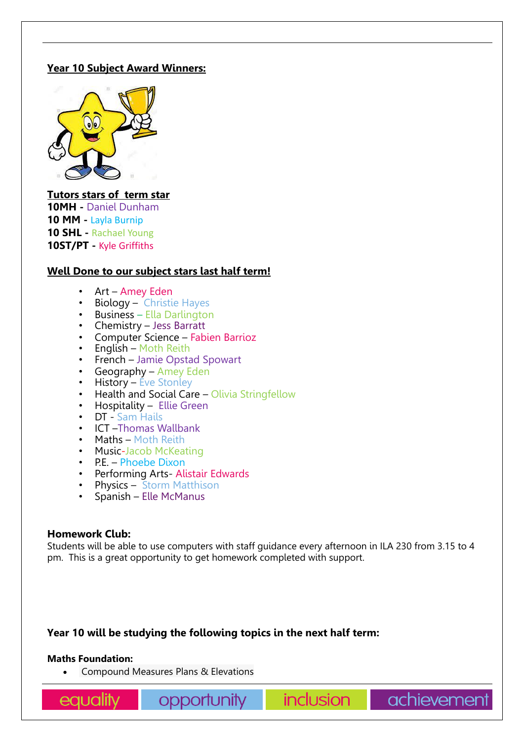### **Year 10 Subject Award Winners:**



**Tutors stars of term star 10MH -** Daniel Dunham **10 MM -** Layla Burnip **10 SHL -** Rachael Young **10ST/PT -** Kyle Griffiths

#### **Well Done to our subject stars last half term!**

- Art Amey Eden
- Biology Christie Hayes
- Business Ella Darlington
- Chemistry Jess Barratt
- Computer Science Fabien Barrioz
- English Moth Reith
- French Jamie Opstad Spowart
- Geography Amey Eden
- History Eve Stonley
- Health and Social Care Olivia Stringfellow
- Hospitality Ellie Green
- DT Sam Hails
- ICT –Thomas Wallbank
- Maths Moth Reith
- Music-Jacob McKeating
- P.E. Phoebe Dixon
- Performing Arts- Alistair Edwards
- Physics Storm Matthison
- Spanish Elle McManus

#### **Homework Club:**

Students will be able to use computers with staff guidance every afternoon in ILA 230 from 3.15 to 4 pm. This is a great opportunity to get homework completed with support.

*inclusion* 

achievement

#### **Year 10 will be studying the following topics in the next half term:**

opportunity

#### **Maths Foundation:**

equality

• Compound Measures Plans & Elevations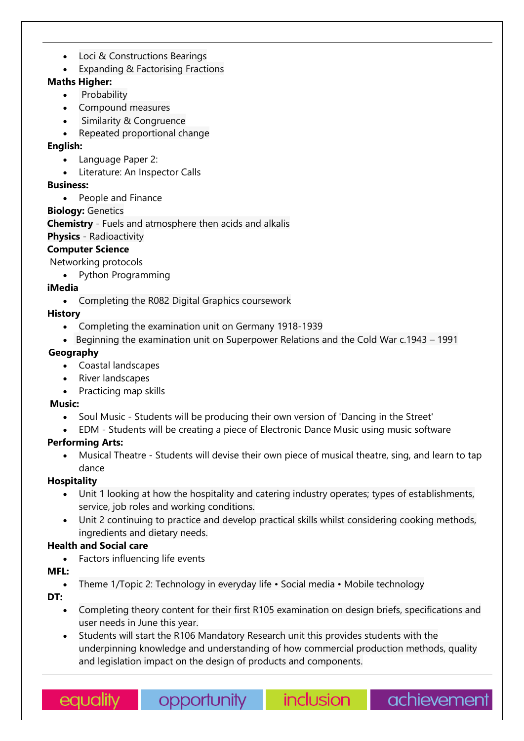- Loci & Constructions Bearings
- Expanding & Factorising Fractions

# **Maths Higher:**

- Probability
- Compound measures
- Similarity & Congruence
- Repeated proportional change

## **English:**

- Language Paper 2:
- Literature: An Inspector Calls

## **Business:**

• People and Finance

**Biology:** Genetics

**Chemistry** - Fuels and atmosphere then acids and alkalis

**Physics** - Radioactivity

# **Computer Science**

Networking protocols

• Python Programming

# **iMedia**

• Completing the R082 Digital Graphics coursework

# **History**

- Completing the examination unit on Germany 1918-1939
- Beginning the examination unit on Superpower Relations and the Cold War c.1943 1991

# **Geography**

- Coastal landscapes
- River landscapes
- Practicing map skills

# **Music:**

- Soul Music Students will be producing their own version of 'Dancing in the Street'
- EDM Students will be creating a piece of Electronic Dance Music using music software

# **Performing Arts:**

• Musical Theatre - Students will devise their own piece of musical theatre, sing, and learn to tap dance

# **Hospitality**

- Unit 1 looking at how the hospitality and catering industry operates; types of establishments, service, job roles and working conditions.
- Unit 2 continuing to practice and develop practical skills whilst considering cooking methods, ingredients and dietary needs.

# **Health and Social care**

• Factors influencing life events

# **MFL:**

• Theme 1/Topic 2: Technology in everyday life • Social media • Mobile technology

opportunity

# **DT:**

- Completing theory content for their first R105 examination on design briefs, specifications and user needs in June this year.
- Students will start the R106 Mandatory Research unit this provides students with the underpinning knowledge and understanding of how commercial production methods, quality and legislation impact on the design of products and components.

*inclusion* 

achievement